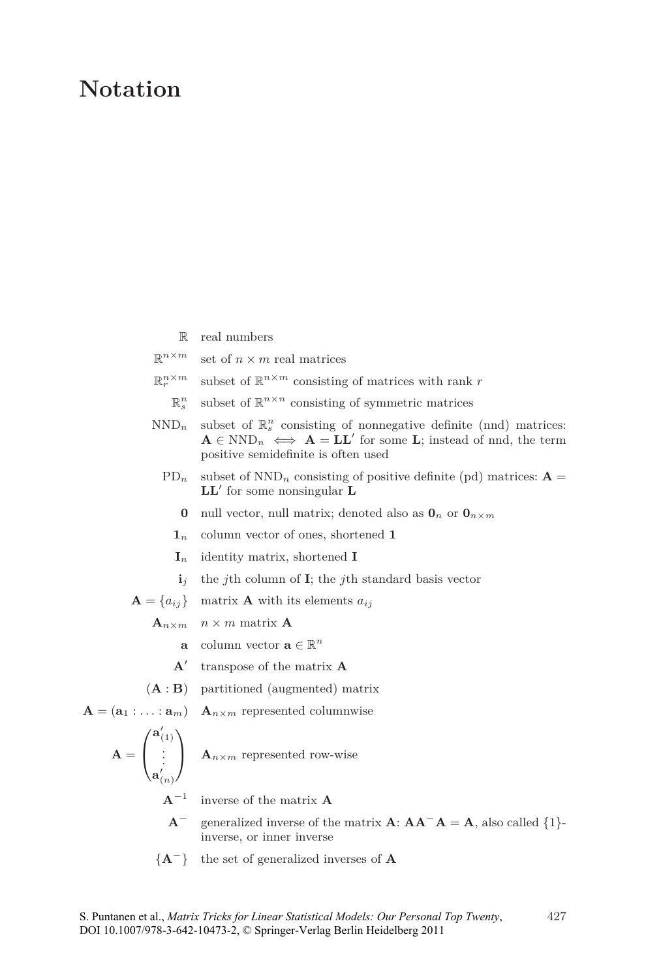## **Notation**

- R real numbers
- $\mathbb{R}^{n \times m}$ set of  $n \times m$  real matrices
- $\mathbb{R}^{n \times m}_{r}$  $r^{n \times m}$  subset of  $\mathbb{R}^{n \times m}$  consisting of matrices with rank *r*
- R *n*  $\int_{s}^{n}$  subset of  $\mathbb{R}^{n \times n}$  consisting of symmetric matrices
- $\text{NND}_n$  subset of  $\mathbb{R}^n_s$  consisting of nonnegative definite (nnd) matrices:  $\mathbf{A} \in \text{NND}_n \iff \mathbf{A} = \mathbf{L}\mathbf{L}'$  for some **L**; instead of nnd, the term positive semidefinite is often used
	- $PD_n$  subset of  $NND_n$  consisting of positive definite (pd) matrices:  $\mathbf{A} =$ **LL**<sup>0</sup> for some nonsingular **L**
		- **0** null vector, null matrix; denoted also as  $\mathbf{0}_n$  or  $\mathbf{0}_{n \times m}$
		- **1***<sup>n</sup>* column vector of ones, shortened **1**
		- **I***<sup>n</sup>* identity matrix, shortened **I**
		- $\mathbf{i}_i$  the *j*th column of **I**; the *j*th standard basis vector

 $\mathbf{A} = \{a_{ij}\}\$ matrix **A** with its elements  $a_{ij}$ 

 $\mathbf{A}_{n \times m}$   $n \times m$  matrix **A** 

- **a** column vector  $\mathbf{a} \in \mathbb{R}^n$
- **A**0 transpose of the matrix **A**
- (**A** : **B**) partitioned (augmented) matrix

 $\mathbf{A} = (\mathbf{a}_1 : \ldots : \mathbf{a}_m)$   $\mathbf{A}_{n \times m}$  represented columnwise

$$
\mathbf{A} = \begin{pmatrix} \mathbf{a}'_{(1)} \\ \vdots \\ \mathbf{a}'_{(n)} \end{pmatrix}
$$

 $\mathbf{A}_{n \times m}$  represented row-wise

**A**<sup>−</sup><sup>1</sup> inverse of the matrix **A**

- **A**<sup>−</sup> generalized inverse of the matrix  $\mathbf{A}$ :  $\mathbf{A}\mathbf{A}^-\mathbf{A} = \mathbf{A}$ , also called {1}inverse, or inner inverse
- {**A**<sup>−</sup>} the set of generalized inverses of **A**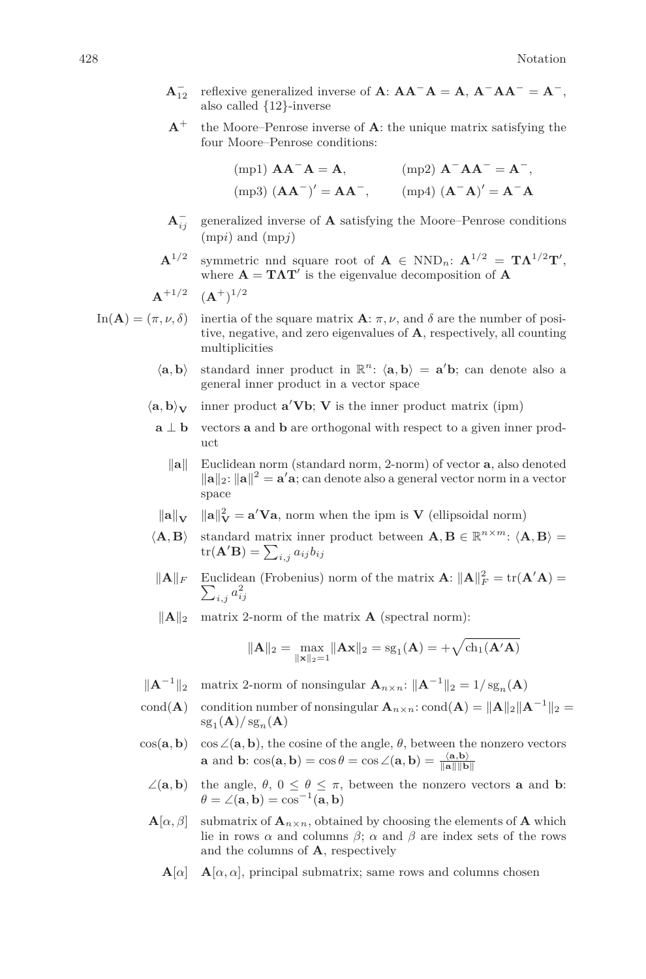- $\mathbf{A}_{12}^-$  reflexive generalized inverse of  $\mathbf{A}$ :  $\mathbf{A}\mathbf{A}^-\mathbf{A} = \mathbf{A}$ ,  $\mathbf{A}^-\mathbf{A}\mathbf{A}^- = \mathbf{A}^-$ , also called {12}-inverse
- $A^+$  the Moore–Penrose inverse of  $A$ : the unique matrix satisfying the four Moore–Penrose conditions:

| $(mpl)$ $AA^-A = A$ ,   | $(mp2)$ $A^-AA^- = A^-,$                                                |
|-------------------------|-------------------------------------------------------------------------|
| $(mp3) (AA^-)' = AA^-,$ | $(\text{mp4}) (\mathbf{A}^{-} \mathbf{A})' = \mathbf{A}^{-} \mathbf{A}$ |

**A**<sup>−</sup> *ij* generalized inverse of **A** satisfying the Moore–Penrose conditions (mp*i*) and (mp*j*)

**A**<sup>1</sup>*/*<sup>2</sup> symmetric nnd square root of  $\mathbf{A} \in \text{NND}_n$ :  $\mathbf{A}^{1/2} = \mathbf{T}\mathbf{\Lambda}^{1/2}\mathbf{T}'$ , where  $\mathbf{A} = \mathbf{T} \mathbf{\Lambda} \mathbf{T}'$  is the eigenvalue decomposition of  $\mathbf{A}$ 

$$
\mathbf{A}^{+1/2} \quad (\mathbf{A}^{+})^{1/2}
$$

In(**A**) = 
$$
(\pi, \nu, \delta)
$$
 inertia of the square matrix **A**:  $\pi, \nu$ , and  $\delta$  are the number of positive, negative, and zero eigenvalues of **A**, respectively, all counting multiplicities

- $\langle \mathbf{a}, \mathbf{b} \rangle$  standard inner product in  $\mathbb{R}^n$ :  $\langle \mathbf{a}, \mathbf{b} \rangle = \mathbf{a}'\mathbf{b}$ ; can denote also a general inner product in a vector space
- $\langle \mathbf{a}, \mathbf{b} \rangle_{\mathbf{V}}$  inner product  $\mathbf{a}' \mathbf{V} \mathbf{b}$ ;  $\mathbf{V}$  is the inner product matrix (ipm)
	- **a** ⊥ **b** vectors **a** and **b** are orthogonal with respect to a given inner product
		- **k** Euclidean norm (standard norm, 2-norm) of vector **a**, also denoted  $\|\mathbf{a}\|_2$ :  $\|\mathbf{a}\|^2 = \mathbf{a}'\mathbf{a}$ ; can denote also a general vector norm in a vector space
	- $\|\mathbf{a}\|_{\mathbf{V}}$  $\mathbf{V} = \mathbf{a}' \mathbf{V} \mathbf{a}$ , norm when the ipm is **V** (ellipsoidal norm)
- $\langle \mathbf{A}, \mathbf{B} \rangle$  standard matrix inner product between  $\mathbf{A}, \mathbf{B} \in \mathbb{R}^{n \times m}$ :  $\langle \mathbf{A}, \mathbf{B} \rangle$  =  $\mathrm{tr}(\mathbf{A}'\mathbf{B}) = \sum_{i,j} a_{ij}b_{ij}$
- $\|\mathbf{A}\|_F$  Euclidean (Frobenius) norm of the matrix  $\mathbf{A}$ :  $\|\mathbf{A}\|_F^2 = \text{tr}(\mathbf{A}'\mathbf{A}) = \sum_{i,i} a_{ij}^2$  $a_{i,j}^2 a_{ij}^2$
- $\|\mathbf{A}\|_2$  matrix 2-norm of the matrix **A** (spectral norm):

$$
\|\mathbf{A}\|_2 = \max_{\|\mathbf{x}\|_2 = 1} \|\mathbf{A}\mathbf{x}\|_2 = \mathrm{sg}_1(\mathbf{A}) = +\sqrt{\mathrm{ch}_1(\mathbf{A}'\mathbf{A})}
$$

- $\|\mathbf{A}^{-1}\|_2$  matrix 2-norm of nonsingular  $\mathbf{A}_{n \times n}$ :  $\|\mathbf{A}^{-1}\|_2 = 1/\text{sg}_n(\mathbf{A})$
- cond(**A**) condition number of nonsingular  $\mathbf{A}_{n \times n}$ : cond(**A**) =  $\|\mathbf{A}\|_2 \|\mathbf{A}^{-1}\|_2$  =  $\operatorname{sg}_1(\mathbf{A})/\operatorname{sg}_n(\mathbf{A})$
- $\cos(\mathbf{a}, \mathbf{b})$  cos  $\angle(\mathbf{a}, \mathbf{b})$ , the cosine of the angle,  $\theta$ , between the nonzero vectors **a** and **b**:  $\cos(\mathbf{a}, \mathbf{b}) = \cos \theta = \cos \angle(\mathbf{a}, \mathbf{b}) = \frac{\langle \mathbf{a}, \mathbf{b} \rangle}{\|\mathbf{a}\| \|\mathbf{b}\|}$ 
	- $∠(a, b)$  the angle, *θ*, 0 ≤ *θ* ≤ *π*, between the nonzero vectors **a** and **b**:  $\theta = \angle(\mathbf{a}, \mathbf{b}) = \cos^{-1}(\mathbf{a}, \mathbf{b})$
	- $\mathbf{A}[\alpha, \beta]$  submatrix of  $\mathbf{A}_{n \times n}$ , obtained by choosing the elements of **A** which lie in rows  $\alpha$  and columns  $\beta$ ;  $\alpha$  and  $\beta$  are index sets of the rows and the columns of **A**, respectively
		- ${\bf A}[\alpha]$  **A**[ $\alpha, \alpha$ ], principal submatrix; same rows and columns chosen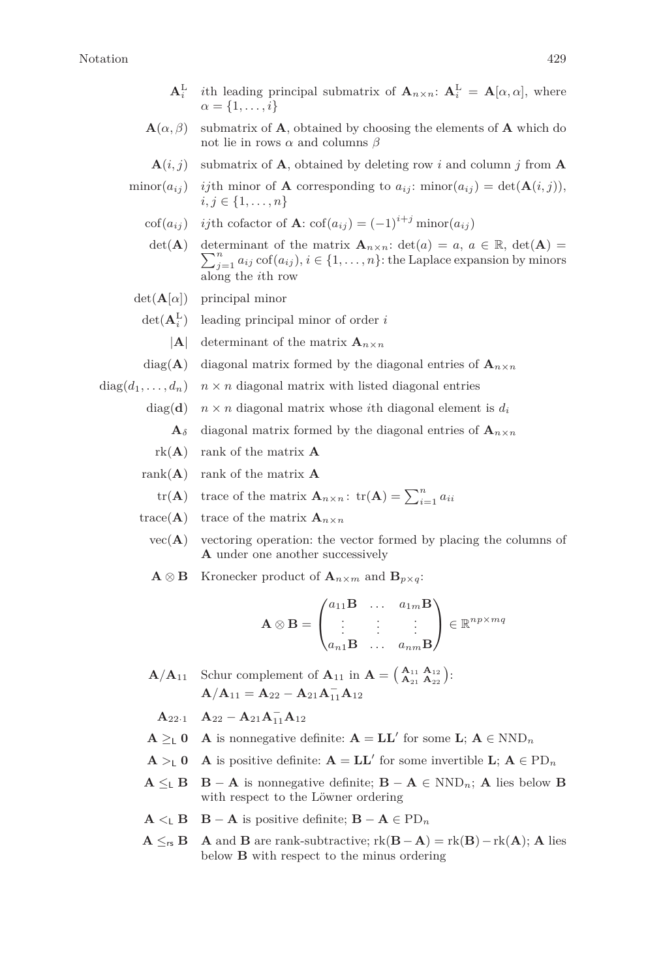- $\mathbf{A}_i^{\text{L}}$  *i*th leading principal submatrix of  $\mathbf{A}_{n \times n}$ :  $\mathbf{A}_i^{\text{L}} = \mathbf{A}[\alpha, \alpha]$ , where  $\alpha = \{1, \ldots, i\}$
- $\mathbf{A}(\alpha, \beta)$  submatrix of **A**, obtained by choosing the elements of **A** which do not lie in rows *α* and columns *β*
	- $\mathbf{A}(i, j)$  submatrix of **A**, obtained by deleting row *i* and column *j* from **A**

$$
\text{minor}(a_{ij}) \quad \text{if the minor of } A \text{ corresponding to } a_{ij}: \text{minor}(a_{ij}) = \det(A(i,j)),
$$

$$
i, j \in \{1, \dots, n\}
$$

- cof( $a_{ij}$ ) *ij*th cofactor of **A**: cof( $a_{ij}$ ) = (−1)<sup>*i+j*</sup> minor( $a_{ij}$ )
	- det(**A**) determinant of the matrix  $\mathbf{A}_{n \times n}$ : det(*a*) = *a*, *a*  $\in \mathbb{R}$ , det(**A**) =  $\sum_{j=1}^{n} a_{ij} \operatorname{cof}(a_{ij}), i \in \{1, \ldots, n\}$ : the Laplace expansion by minors along the *i*th row
- det(**A**[*α*]) principal minor
	- $\det(\mathbf{A}_i^{\text{L}})$  leading principal minor of order *i* 
		- $|{\bf A}|$  determinant of the matrix  ${\bf A}_{n \times n}$
	- diag(**A**) diagonal matrix formed by the diagonal entries of  $\mathbf{A}_{n \times n}$
- $diag(d_1, \ldots, d_n)$   $n \times n$  diagonal matrix with listed diagonal entries
	- diag(d)  $n \times n$  diagonal matrix whose *i*th diagonal element is  $d_i$ 
		- $\mathbf{A}_{\delta}$  diagonal matrix formed by the diagonal entries of  $\mathbf{A}_{n \times n}$
	- rk(**A**) rank of the matrix **A**
	- rank $(A)$  rank of the matrix  $A$ 
		- tr(**A**) trace of the matrix  $\mathbf{A}_{n \times n}$ : tr(**A**) =  $\sum_{i=1}^{n} a_{ii}$
	- trace( $\bf{A}$ ) trace of the matrix  $\bf{A}_{n \times n}$ 
		- $vec(\mathbf{A})$  vectoring operation: the vector formed by placing the columns of **A** under one another successively
		- $\mathbf{A} \otimes \mathbf{B}$  Kronecker product of  $\mathbf{A}_{n \times m}$  and  $\mathbf{B}_{n \times q}$ :

$$
\mathbf{A} \otimes \mathbf{B} = \begin{pmatrix} a_{11} \mathbf{B} & \dots & a_{1m} \mathbf{B} \\ \vdots & \vdots & \vdots \\ a_{n1} \mathbf{B} & \dots & a_{nm} \mathbf{B} \end{pmatrix} \in \mathbb{R}^{np \times mq}
$$

- **A***/***A**<sub>11</sub> Schur complement of **A**<sub>11</sub> in **A** =  $\begin{pmatrix} A_{11} & A_{12} \\ A_{21} & A_{22} \end{pmatrix}$ :  $\mathbf{A}/\mathbf{A}_{11} = \mathbf{A}_{22} - \mathbf{A}_{21}\mathbf{A}_{11} - \mathbf{A}_{12}$ 
	- **A**<sub>22</sub>·1 **A**<sub>22</sub> − **A**<sub>21</sub>**A**<sup> $-$ </sup><sub>11</sub>**A**<sub>12</sub>
- **A** ≥<sub>**L</sub> <b>0 A** is nonnegative definite: **A** = **LL**<sup> $\prime$ </sup> for some **L**; **A** ∈ NND<sub>*n*</sub></sub>
- **A** >**L O A** is positive definite: **A** = **LL**<sup> $\prime$ </sup> for some invertible **L**; **A** ∈ PD<sub>*n*</sub>
- **A**  $\leq$ <sub>1</sub> **B** − **A** is nonnegative definite; **B** − **A** ∈ NND<sub>n</sub>; **A** lies below **B** with respect to the Löwner ordering
- $A \leq B$  **B** − **A** is positive definite; **B** − **A** ∈ PD<sub>n</sub>
- **A**  $\leq_{rs}$  **B A** and **B** are rank-subtractive;  $rk(B A) = rk(B) rk(A);$  **A** lies below **B** with respect to the minus ordering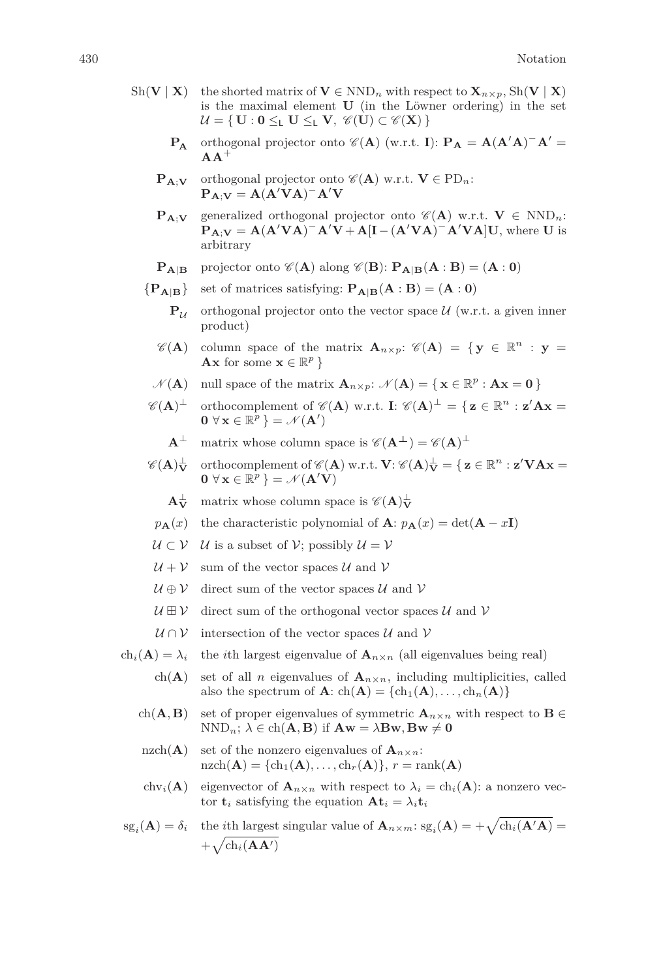- Sh(**V** | **X**) the shorted matrix of  $V \in NND_n$  with respect to  $X_{n \times p}$ , Sh(**V** | **X**) is the maximal element **U** (in the Löwner ordering) in the set  $\mathcal{U} = \{ \mathbf{U} : \mathbf{0} \leq_{\mathsf{L}} \mathbf{U} \leq_{\mathsf{L}} \mathbf{V}, \ \mathscr{C}(\mathbf{U}) \subset \mathscr{C}(\mathbf{X}) \}$ 
	- **P<sub>A</sub>** orthogonal projector onto  $\mathscr{C}(A)$  (w.r.t. **I**): **P**<sub>A</sub> =  $A(A'A)^{-}A'$  =  $A^+$
	- $\mathbf{P}_{\mathbf{A}: \mathbf{V}}$  orthogonal projector onto  $\mathscr{C}(\mathbf{A})$  w.r.t.  $\mathbf{V} \in \mathrm{PD}_n$ :  $P_{A;V} = A(A'VA)^{-}A'V$
	- **PA**;**V** generalized orthogonal projector onto  $\mathscr{C}(\mathbf{A})$  w.r.t. **V**  $\in$  NND<sub>n</sub>:  $\mathbf{P}_{\mathbf{A};\mathbf{V}} = \mathbf{A}(\mathbf{A}'\mathbf{V}\mathbf{A})^{-} \mathbf{A}'\mathbf{V} + \mathbf{A}[\mathbf{I}-(\mathbf{A}'\mathbf{V}\mathbf{A})^{-} \mathbf{A}'\mathbf{V}\mathbf{A}]\mathbf{U}$ , where **U** is arbitrary
	- $\mathbf{P}_{\mathbf{A}|\mathbf{B}}$  projector onto  $\mathscr{C}(\mathbf{A})$  along  $\mathscr{C}(\mathbf{B})$ :  $\mathbf{P}_{\mathbf{A}|\mathbf{B}}(\mathbf{A}:\mathbf{B}) = (\mathbf{A}:\mathbf{0})$
	- ${P_{\bf A|B}}$  set of matrices satisfying:  $P_{\bf A|B}({\bf A} : {\bf B}) = ({\bf A} : {\bf 0})$ 
		- $P_{\mathcal{U}}$  orthogonal projector onto the vector space  $\mathcal{U}$  (w.r.t. a given inner product)
		- $\mathscr{C}(\mathbf{A})$  column space of the matrix  $\mathbf{A}_{n \times p}$ :  $\mathscr{C}(\mathbf{A}) = \{ \mathbf{y} \in \mathbb{R}^n : \mathbf{y} =$ **Ax** for some  $\mathbf{x} \in \mathbb{R}^p$  }
		- $\mathcal{N}(\mathbf{A})$  null space of the matrix  $\mathbf{A}_{n \times p}$ :  $\mathcal{N}(\mathbf{A}) = \{ \mathbf{x} \in \mathbb{R}^p : \mathbf{A}\mathbf{x} = \mathbf{0} \}$
	- $\mathscr{C}(\mathbf{A})^{\perp}$  orthocomplement of  $\mathscr{C}(\mathbf{A})$  w.r.t. **I**:  $\mathscr{C}(\mathbf{A})^{\perp} = \{ \mathbf{z} \in \mathbb{R}^n : \mathbf{z}' \mathbf{A} \mathbf{x} =$  $\mathbf{0} \ \forall \ \mathbf{x} \in \mathbb{R}^p \ \} = \mathcal{N}(\mathbf{A}')$

 $\mathbf{A}^{\perp}$  matrix whose column space is  $\mathscr{C}(\mathbf{A}^{\perp}) = \mathscr{C}(\mathbf{A})^{\perp}$ 

- $\mathscr{C}(\mathbf{A})^\perp_\mathbf{V}$  $\frac{\perp}{\mathbf{V}}$  orthocomplement of  $\mathscr{C}(\mathbf{A})$  w.r.t.  $\mathbf{V}$ :  $\mathscr{C}(\mathbf{A})^{\perp}_{\mathbf{V}} = \{ \mathbf{z} \in \mathbb{R}^n : \mathbf{z}' \mathbf{V} \mathbf{A} \mathbf{x} = \emptyset \}$  $\mathbf{0} \ \forall \ \mathbf{x} \in \mathbb{R}^p \ \} = \mathcal{N}(\mathbf{A}'\mathbf{V})$ 
	- $A_{V}^{\perp}$  $\frac{1}{V}$  matrix whose column space is  $\mathscr{C}(\mathbf{A})\frac{1}{V}$
- $p_{\bf A}(x)$  the characteristic polynomial of **A**:  $p_{\bf A}(x) = det({\bf A} x{\bf I})$
- $U \subset V$  U is a subset of V; possibly  $U = V$
- $U + V$  sum of the vector spaces U and V
- $\mathcal{U} \oplus \mathcal{V}$  direct sum of the vector spaces U and V
- $\mathcal{U} \boxplus \mathcal{V}$  direct sum of the orthogonal vector spaces  $\mathcal{U}$  and  $\mathcal{V}$
- $U \cap V$  intersection of the vector spaces U and V
- ch<sub>*i*</sub>( $\mathbf{A}$ ) =  $\lambda_i$  the *i*th largest eigenvalue of  $\mathbf{A}_{n \times n}$  (all eigenvalues being real)
	- ch(**A**) set of all *n* eigenvalues of  $\mathbf{A}_{n \times n}$ , including multiplicities, called also the spectrum of  $\mathbf{A}$ :  $\text{ch}(\mathbf{A}) = {\text{ch}_1(\mathbf{A}), \dots, \text{ch}_n(\mathbf{A})}$
	- ch( $\mathbf{A}, \mathbf{B}$ ) set of proper eigenvalues of symmetric  $\mathbf{A}_{n \times n}$  with respect to  $\mathbf{B} \in$  $NND_n$ ;  $\lambda \in \text{ch}(\mathbf{A}, \mathbf{B})$  if  $\mathbf{A}\mathbf{w} = \lambda \mathbf{B}\mathbf{w}, \mathbf{B}\mathbf{w} \neq \mathbf{0}$
	- nzch( $\bf{A}$ ) set of the nonzero eigenvalues of  ${\bf A}_{n \times n}$ :  $\text{nzch}(\mathbf{A}) = {\text{ch}_1(\mathbf{A}), \dots, \text{ch}_r(\mathbf{A})}, r = \text{rank}(\mathbf{A})$
	- chv<sub>i</sub>(**A**) eigenvector of  $\mathbf{A}_{n \times n}$  with respect to  $\lambda_i = ch_i(\mathbf{A})$ : a nonzero vector  $\mathbf{t}_i$  satisfying the equation  $\mathbf{A}\mathbf{t}_i = \lambda_i \mathbf{t}_i$
- $\operatorname{sg}_i(A) = \delta_i$  the *i*th largest singular value of  $A_{n \times m}$ :  $\operatorname{sg}_i(A) = +\sqrt{\operatorname{ch}_i(A'A)}$  $+\sqrt{\ch_i(\mathbf{A}\mathbf{A}^\prime)}$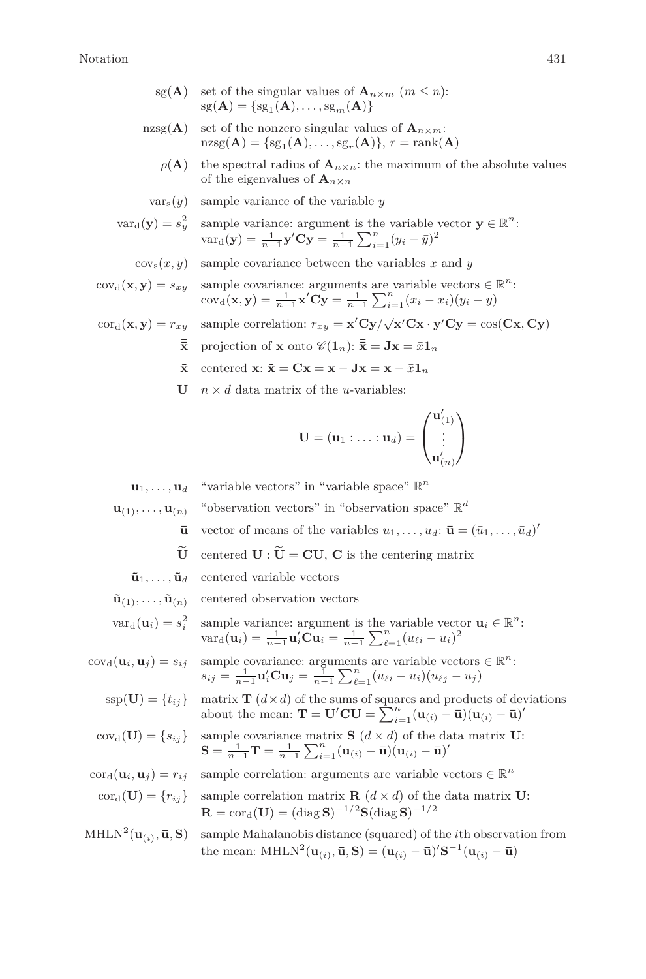## Notation 431

- sg(**A**) set of the singular values of  $\mathbf{A}_{n \times m}$  ( $m \leq n$ ):  $sg(\mathbf{A}) = \{sg_1(\mathbf{A}), \ldots, sg_m(\mathbf{A})\}$
- nzsg( $\bf{A}$ ) set of the nonzero singular values of  ${\bf A}_{n \times m}$ :  $\text{nzsg}(\mathbf{A}) = \{\text{sg}_1(\mathbf{A}), \dots, \text{sg}_r(\mathbf{A})\}, r = \text{rank}(\mathbf{A})$ 
	- $\rho(\mathbf{A})$  the spectral radius of  $\mathbf{A}_{n \times n}$ : the maximum of the absolute values of the eigenvalues of  $\mathbf{A}_{n \times n}$
	- $var_s(y)$  sample variance of the variable *y*

$$
\text{var}_{d}(\mathbf{y}) = s_y^2 \quad \text{sample variance: argument is the variable vector } \mathbf{y} \in \mathbb{R}^n: \\ \text{var}_{d}(\mathbf{y}) = \frac{1}{n-1} \mathbf{y}' \mathbf{C} \mathbf{y} = \frac{1}{n-1} \sum_{i=1}^n (y_i - \bar{y})^2
$$

 $\cos(x, y)$  sample covariance between the variables x and y

$$
cov_{d}(\mathbf{x}, \mathbf{y}) = s_{xy} \quad \text{sample covariance: arguments are variable vectors } \in \mathbb{R}^{n}: \\ cov_{d}(\mathbf{x}, \mathbf{y}) = \frac{1}{n-1} \mathbf{x}' \mathbf{C} \mathbf{y} = \frac{1}{n-1} \sum_{i=1}^{n} (x_{i} - \bar{x}_{i})(y_{i} - \bar{y})
$$

- $\text{cor}_d(\mathbf{x}, \mathbf{y}) = r_{xy}$  sample correlation:  $r_{xy} = \mathbf{x}' \mathbf{C} \mathbf{y} / \sqrt{\mathbf{x}' \mathbf{C} \mathbf{x} \cdot \mathbf{y}' \mathbf{C} \mathbf{y}} = \cos(\mathbf{C} \mathbf{x}, \mathbf{C} \mathbf{y})$ 
	- $\bar{\bar{\mathbf{x}}}$  projection of **x** onto  $\mathscr{C}(\mathbf{1}_n): \bar{\bar{\mathbf{x}}} = \mathbf{J}\mathbf{x} = \bar{x}\mathbf{1}_n$
	- $\tilde{\mathbf{x}}$  centered  $\mathbf{x}$ :  $\tilde{\mathbf{x}} = \mathbf{C}\mathbf{x} = \mathbf{x} \mathbf{J}\mathbf{x} = \mathbf{x} \bar{x}\mathbf{1}_n$
	- **U**  $n \times d$  data matrix of the *u*-variables:

$$
\mathbf{U}=(\mathbf{u}_1:\ldots:\mathbf{u}_d)=\begin{pmatrix}\mathbf{u}'_{(1)}\\\vdots\\\mathbf{u}'_{(n)}\end{pmatrix}
$$

 $\mathbf{u}_1, \ldots, \mathbf{u}_d$  "variable vectors" in "variable space"  $\mathbb{R}^n$ 

- $\mathbf{u}_{(1)}, \ldots, \mathbf{u}_{(n)}$  "observation vectors" in "observation space"  $\mathbb{R}^d$ 
	- $\bar{\mathbf{u}}$  vector of means of the variables  $u_1, \ldots, u_d$ :  $\bar{\mathbf{u}} = (\bar{u}_1, \ldots, \bar{u}_d)'$
	- $\widetilde{\mathbf{U}}$  centered  $\mathbf{U} : \widetilde{\mathbf{U}} = \mathbf{C}\mathbf{U}$ ,  $\mathbf{C}$  is the centering matrix
	- $\tilde{\mathbf{u}}_1, \ldots, \tilde{\mathbf{u}}_d$  centered variable vectors
- $\tilde{\mathbf{u}}_{(1)}, \ldots, \tilde{\mathbf{u}}_{(n)}$  centered observation vectors

$$
\text{var}_{d}(\mathbf{u}_{i}) = s_{i}^{2} \quad \text{sample variance: argument is the variable vector } \mathbf{u}_{i} \in \mathbb{R}^{n}: \\
\text{var}_{d}(\mathbf{u}_{i}) = \frac{1}{n-1} \mathbf{u}_{i}^{\prime} \mathbf{C} \mathbf{u}_{i} = \frac{1}{n-1} \sum_{\ell=1}^{n} (u_{\ell i} - \bar{u}_{i})^{2}
$$

 $cov_d(\mathbf{u}_i, \mathbf{u}_j) = s_{ij}$  sample covariance: arguments are variable vectors  $\in \mathbb{R}^n$ :  $s_{ij} = \frac{1}{n-1} \mathbf{u}'_i \mathbf{C} \mathbf{u}_j = \frac{1}{n-1} \sum_{\ell=1}^n (u_{\ell i} - \bar{u}_i)(u_{\ell j} - \bar{u}_j)$ 

 $\text{ssp}(\mathbf{U}) = \{t_{ij}\}\$ matrix **T**  $(d \times d)$  of the sums of squares and products of deviations about the mean:  $\mathbf{T} = \mathbf{U}'\mathbf{C}\mathbf{U} = \sum_{i=1}^{n} (\mathbf{u}_{(i)} - \bar{\mathbf{u}})(\mathbf{u}_{(i)} - \bar{\mathbf{u}})'$ 

- $cov_d(\mathbf{U}) = \{s_{ij}\}\$  sample covariance matrix **S**  $(d \times d)$  of the data matrix **U**:  $\mathbf{S} = \frac{1}{n-1} \mathbf{T} = \frac{1}{n-1} \sum_{i=1}^{n} (\mathbf{u}_{(i)} - \bar{\mathbf{u}})(\mathbf{u}_{(i)} - \bar{\mathbf{u}})'$
- $\text{cor}_{d}(\mathbf{u}_{i}, \mathbf{u}_{j}) = r_{ij}$  sample correlation: arguments are variable vectors  $\in \mathbb{R}^{n}$
- $\text{cor}_{d}(\mathbf{U}) = \{r_{ij}\}\$  sample correlation matrix **R**  $(d \times d)$  of the data matrix **U**:  $\mathbf{R} = \mathrm{cor}_{\mathrm{d}}(\mathbf{U}) = (\mathrm{diag} \, \mathbf{S})^{-1/2} \mathbf{S} (\mathrm{diag} \, \mathbf{S})^{-1/2}$
- 
- $MHLN^2(\mathbf{u}_{(i)}, \mathbf{\bar{u}}, \mathbf{S})$  sample Mahalanobis distance (squared) of the *i*th observation from the mean:  $MHLN^2(\mathbf{u}_{(i)}, \bar{\mathbf{u}}, \mathbf{S}) = (\mathbf{u}_{(i)} - \bar{\mathbf{u}})'\mathbf{S}^{-1}(\mathbf{u}_{(i)} - \bar{\mathbf{u}})$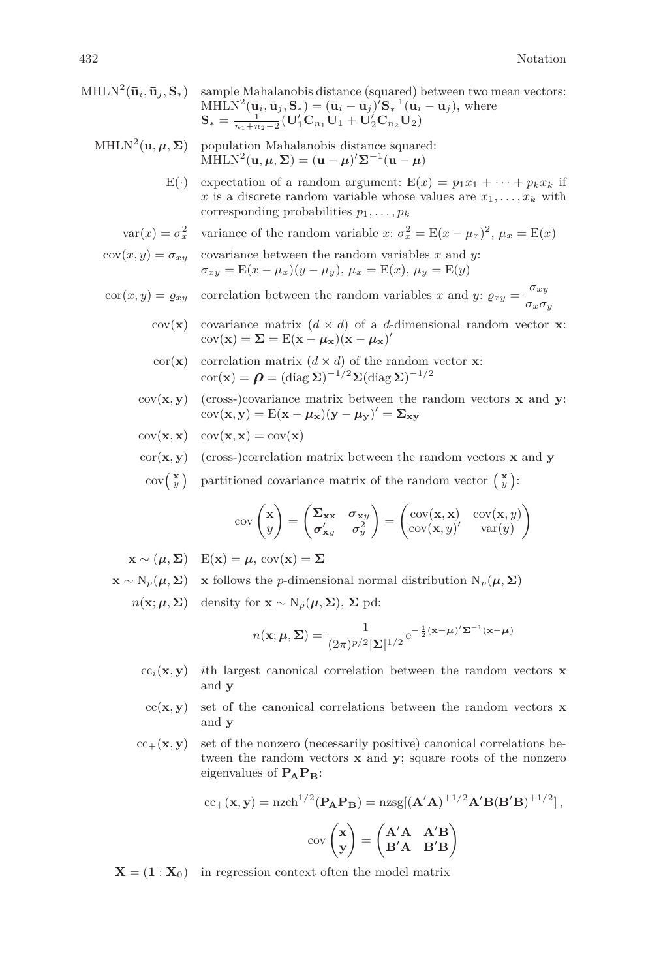- $\text{MHLN}^2(\bar{\mathbf{u}}_i, \bar{\mathbf{u}}_j, \mathbf{S}_*)$  sample Mahalanobis distance (squared) between two mean vectors:  $MHLN^2(\bar{\mathbf{u}}_i, \bar{\mathbf{u}}_j, \mathbf{S}_*) = (\bar{\mathbf{u}}_i - \bar{\mathbf{u}}_j)' \mathbf{S}_*^{-1}(\bar{\mathbf{u}}_i - \bar{\mathbf{u}}_j),$  where  $\mathbf{S}_* = \frac{1}{n_1+n_2-2} (\mathbf{U}_1' \mathbf{C}_{n_1} \mathbf{U}_1 + \mathbf{U}_2' \mathbf{C}_{n_2} \mathbf{U}_2)$ 
	- $MHLN<sup>2</sup>(**u**, **µ**, **Σ**)$  population Mahalanobis distance squared:  $\text{MHLN}^2(\mathbf{u}, \boldsymbol{\mu}, \boldsymbol{\Sigma}) = (\mathbf{u} - \boldsymbol{\mu})' \boldsymbol{\Sigma}^{-1}(\mathbf{u} - \boldsymbol{\mu})$ 
		- E(·) expectation of a random argument:  $E(x) = p_1x_1 + \cdots + p_kx_k$  if *x* is a discrete random variable whose values are  $x_1, \ldots, x_k$  with corresponding probabilities *p*1*, . . . , p<sup>k</sup>*
		- $var(x) = \sigma_x^2$  variance of the random variable *x*:  $\sigma_x^2 = E(x \mu_x)^2$ ,  $\mu_x = E(x)$

 $cov(x, y) = \sigma_{xy}$  covariance between the random variables *x* and *y*:  $\sigma_{xy} = E(x - \mu_x)(y - \mu_y), \mu_x = E(x), \mu_y = E(y)$ 

- $\text{cor}(x, y) = \varrho_{xy}$  correlation between the random variables *x* and *y*:  $\varrho_{xy} = \frac{\sigma_{xy}}{g}$ *σxσ<sup>y</sup>*
	- cov(**x**) covariance matrix  $(d \times d)$  of a *d*-dimensional random vector **x**:  $cov(\mathbf{x}) = \mathbf{\Sigma} = E(\mathbf{x} - \boldsymbol{\mu}_{\mathbf{x}})(\mathbf{x} - \boldsymbol{\mu}_{\mathbf{x}})'$
	- cor(**x**) correlation matrix  $(d \times d)$  of the random vector **x**:  $\text{cor}(\mathbf{x}) = \boldsymbol{\rho} = (\text{diag } \boldsymbol{\Sigma})^{-1/2} \boldsymbol{\Sigma} (\text{diag } \boldsymbol{\Sigma})^{-1/2}$
	- $cov(\mathbf{x}, \mathbf{y})$  (cross-)covariance matrix between the random vectors **x** and **y**:  $cov(\mathbf{x}, \mathbf{y}) = E(\mathbf{x} - \boldsymbol{\mu}_{\mathbf{x}})(\mathbf{y} - \boldsymbol{\mu}_{\mathbf{y}})' = \boldsymbol{\Sigma}_{\mathbf{x}\mathbf{y}}$
	- $cov(\mathbf{x}, \mathbf{x})$   $cov(\mathbf{x}, \mathbf{x}) = cov(\mathbf{x})$
	- $\text{cor}(\mathbf{x}, \mathbf{y})$  (cross-)correlation matrix between the random vectors **x** and **y** 
		- $\operatorname{cov}(\begin{array}{c} \mathbf{x} \\ y \end{array})$  partitioned covariance matrix of the random vector  $\begin{pmatrix} \mathbf{x} \\ y \end{pmatrix}$ :

$$
\operatorname{cov}\begin{pmatrix} \mathbf{x} \\ y \end{pmatrix} = \begin{pmatrix} \Sigma_{\mathbf{xx}} & \sigma_{\mathbf{xy}} \\ \sigma'_{\mathbf{xy}} & \sigma_{y}^{2} \end{pmatrix} = \begin{pmatrix} \operatorname{cov}(\mathbf{x}, \mathbf{x}) & \operatorname{cov}(\mathbf{x}, y) \\ \operatorname{cov}(\mathbf{x}, y)' & \operatorname{var}(y) \end{pmatrix}
$$

 $\mathbf{x} \sim (\boldsymbol{\mu}, \boldsymbol{\Sigma})$   $E(\mathbf{x}) = \boldsymbol{\mu}, cov(\mathbf{x}) = \boldsymbol{\Sigma}$ 

- $\mathbf{x} \sim \mathrm{N}_p(\boldsymbol{\mu}, \boldsymbol{\Sigma})$  **x** follows the *p*-dimensional normal distribution  $\mathrm{N}_p(\boldsymbol{\mu}, \boldsymbol{\Sigma})$ 
	- $n(\mathbf{x}; \boldsymbol{\mu}, \boldsymbol{\Sigma})$  density for  $\mathbf{x} \sim \mathrm{N}_p(\boldsymbol{\mu}, \boldsymbol{\Sigma}), \boldsymbol{\Sigma}$  pd:

$$
n(\mathbf{x}; \boldsymbol{\mu}, \boldsymbol{\Sigma}) = \frac{1}{(2\pi)^{p/2} |\boldsymbol{\Sigma}|^{1/2}} e^{-\frac{1}{2}(\mathbf{x} - \boldsymbol{\mu})' \boldsymbol{\Sigma}^{-1}(\mathbf{x} - \boldsymbol{\mu})}
$$

- $cc_i(\mathbf{x}, \mathbf{y})$  *i*th largest canonical correlation between the random vectors **x** and **y**
- $cc(\mathbf{x}, \mathbf{y})$  set of the canonical correlations between the random vectors **x** and **y**
- $cc_{+}(\mathbf{x}, \mathbf{y})$  set of the nonzero (necessarily positive) canonical correlations between the random vectors **x** and **y**; square roots of the nonzero eigenvalues of  $P_{\bf A}P_{\bf B}$ :

$$
cc_{+}(\mathbf{x}, \mathbf{y}) = n \mathbf{z} ch^{1/2}(\mathbf{P}_{\mathbf{A}} \mathbf{P}_{\mathbf{B}}) = n \mathbf{z} \mathbf{g} [(\mathbf{A}'\mathbf{A})^{+1/2} \mathbf{A}' \mathbf{B} (\mathbf{B}'\mathbf{B})^{+1/2}],
$$

$$
cov\begin{pmatrix} \mathbf{x} \\ \mathbf{y} \end{pmatrix} = \begin{pmatrix} \mathbf{A}'\mathbf{A} & \mathbf{A}'\mathbf{B} \\ \mathbf{B}'\mathbf{A} & \mathbf{B}'\mathbf{B} \end{pmatrix}
$$

 $X = (1 : X_0)$  in regression context often the model matrix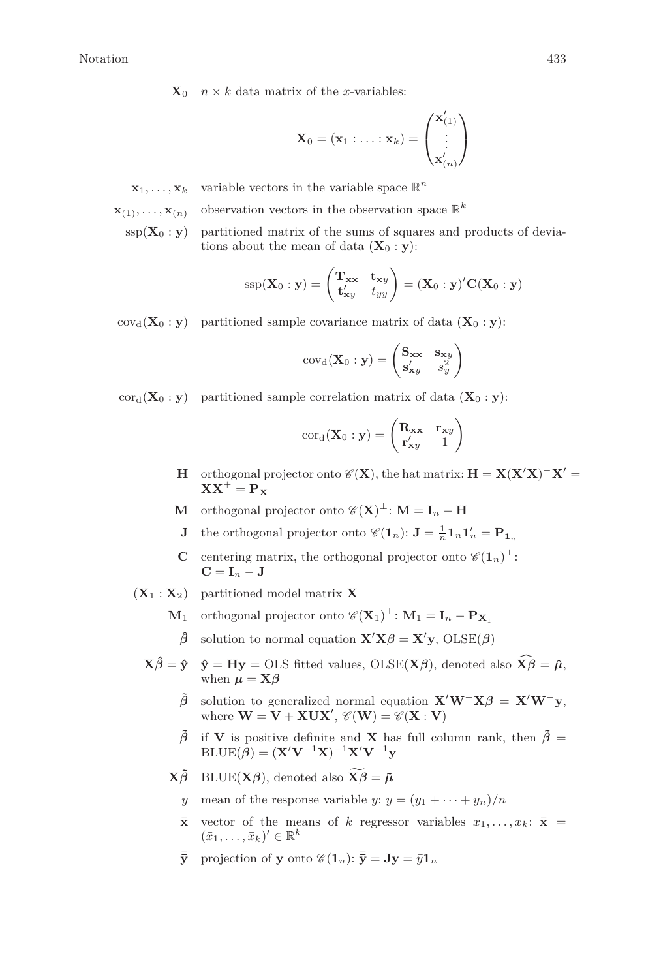$\mathbf{X}_0$  *n* × *k* data matrix of the *x*-variables:

$$
\mathbf{X}_0 = (\mathbf{x}_1 : \ldots : \mathbf{x}_k) = \begin{pmatrix} \mathbf{x}'_{(1)} \\ \vdots \\ \mathbf{x}'_{(n)} \end{pmatrix}
$$

 $\mathbf{x}_1, \ldots, \mathbf{x}_k$  variable vectors in the variable space  $\mathbb{R}^n$ 

$$
\mathbf{x}_{(1)}, \ldots, \mathbf{x}_{(n)}
$$
 observation vectors in the observation space  $\mathbb{R}^k$ 

 $\text{ssp}(\mathbf{X}_0 : \mathbf{y})$  partitioned matrix of the sums of squares and products of deviations about the mean of data  $(\mathbf{X}_0 : \mathbf{v})$ :

$$
SSp(\mathbf{X}_0 : \mathbf{y}) = \begin{pmatrix} \mathbf{T}_{\mathbf{x}\mathbf{x}} & \mathbf{t}_{\mathbf{x}y} \\ \mathbf{t}_{\mathbf{x}y}^{\prime} & t_{yy} \end{pmatrix} = (\mathbf{X}_0 : \mathbf{y})^{\prime} \mathbf{C} (\mathbf{X}_0 : \mathbf{y})
$$

 $cov_d(\mathbf{X}_0 : y)$  partitioned sample covariance matrix of data  $(\mathbf{X}_0 : y)$ :

$$
cov_{d}(\mathbf{X}_{0} : \mathbf{y}) = \begin{pmatrix} \mathbf{S}_{\mathbf{xx}} & \mathbf{s}_{\mathbf{x}y} \\ \mathbf{s}_{\mathbf{x}y}^{\prime} & s_{y}^{2} \end{pmatrix}
$$

 $\text{cor}_{d}(\mathbf{X}_{0} : \mathbf{v})$  partitioned sample correlation matrix of data  $(\mathbf{X}_{0} : \mathbf{v})$ :

$$
cor_{d}(\mathbf{X}_{0} : \mathbf{y}) = \begin{pmatrix} \mathbf{R}_{\mathbf{xx}} & \mathbf{r}_{\mathbf{xy}} \\ \mathbf{r}'_{\mathbf{xy}} & 1 \end{pmatrix}
$$

- **H** orthogonal projector onto  $\mathscr{C}(\mathbf{X})$ , the hat matrix:  $\mathbf{H} = \mathbf{X}(\mathbf{X}'\mathbf{X})^{-1}\mathbf{X}' =$  $XX^+ = P_Y$
- **M** orthogonal projector onto  $\mathscr{C}(\mathbf{X})^{\perp}$ : **M** = **I**<sub>n</sub> − **H**
- **J** the orthogonal projector onto  $\mathscr{C}(1_n)$ :  $J = \frac{1}{n} 1_n 1_n' = P_{1_n}$
- **C** centering matrix, the orthogonal projector onto  $\mathscr{C}(\mathbf{1}_n)^{\perp}$ :  $C = I_n - J$
- $(\mathbf{X}_1 : \mathbf{X}_2)$  partitioned model matrix **X** 
	- **M**<sub>1</sub> orthogonal projector onto  $\mathscr{C}(\mathbf{X}_1)^{\perp}$ :  $\mathbf{M}_1 = \mathbf{I}_n \mathbf{P}_{\mathbf{X}_1}$
	- $\hat{\beta}$  solution to normal equation  $\mathbf{X}'\mathbf{X}\beta = \mathbf{X}'\mathbf{y}$ , OLSE( $\beta$ )
	- $\mathbf{X}\hat{\beta} = \hat{\mathbf{y}}$   $\hat{\mathbf{y}} = \mathbf{H}\mathbf{y} = \text{OLS}$  fitted values,  $\text{OLSE}(\mathbf{X}\beta)$ , denoted also  $\hat{\mathbf{X}}\hat{\beta} = \hat{\boldsymbol{\mu}}$ , when  $\mu = \mathbf{X}\boldsymbol{\beta}$ 
		- $\tilde{\beta}$  solution to generalized normal equation  $\mathbf{X}'\mathbf{W}^-\mathbf{X}\beta = \mathbf{X}'\mathbf{W}^-\mathbf{v}$ , where  $\mathbf{W} = \mathbf{V} + \mathbf{X}\mathbf{U}\mathbf{X}'$ ,  $\mathscr{C}(\mathbf{W}) = \mathscr{C}(\mathbf{X} : \mathbf{V})$
		- $\tilde{\beta}$  if **V** is positive definite and **X** has full column rank, then  $\tilde{\beta}$  =  $\text{BLE}(\hat{\boldsymbol{\beta}}) = (\mathbf{X}'\mathbf{V}^{-1}\mathbf{X})^{-1}\mathbf{X}'\mathbf{V}^{-1}\mathbf{y}$

 $\mathbf{X}\tilde{\boldsymbol{\beta}}$  BLUE( $\mathbf{X}\boldsymbol{\beta}$ ), denoted also  $\mathbf{X}\tilde{\boldsymbol{\beta}} = \tilde{\boldsymbol{\mu}}$ 

- $\bar{y}$  mean of the response variable *y*:  $\bar{y} = (y_1 + \cdots + y_n)/n$
- $\bar{x}$  vector of the means of *k* regressor variables  $x_1, \ldots, x_k$ :  $\bar{x}$  =  $(\bar{x}_1, \ldots, \bar{x}_k)' \in \mathbb{R}^k$
- $\bar{\bar{\mathbf{y}}}$  projection of **y** onto  $\mathscr{C}(\mathbf{1}_n): \bar{\bar{\mathbf{y}}} = \mathbf{J}\mathbf{y} = \bar{y}\mathbf{1}_n$